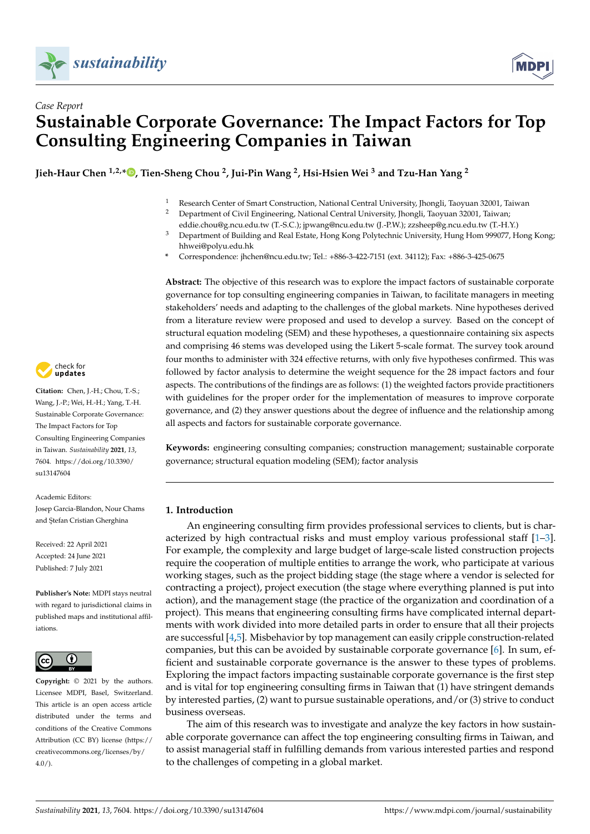



# *Case Report* **Sustainable Corporate Governance: The Impact Factors for Top Consulting Engineering Companies in Taiwan**

**Jieh-Haur Chen 1,2,\* [,](https://orcid.org/0000-0002-6063-0464) Tien-Sheng Chou <sup>2</sup> , Jui-Pin Wang <sup>2</sup> , Hsi-Hsien Wei <sup>3</sup> and Tzu-Han Yang <sup>2</sup>**

- 1 Research Center of Smart Construction, National Central University, Jhongli, Taoyuan 32001, Taiwan 2001, Taiwan
	- <sup>2</sup> Department of Civil Engineering, National Central University, Jhongli, Taoyuan 32001, Taiwan;
	- eddie.chou@g.ncu.edu.tw (T.-S.C.); jpwang@ncu.edu.tw (J.-P.W.); zzsheep@g.ncu.edu.tw (T.-H.Y.)
- <sup>3</sup> Department of Building and Real Estate, Hong Kong Polytechnic University, Hung Hom 999077, Hong Kong; hhwei@polyu.edu.hk
- **\*** Correspondence: jhchen@ncu.edu.tw; Tel.: +886-3-422-7151 (ext. 34112); Fax: +886-3-425-0675

**Abstract:** The objective of this research was to explore the impact factors of sustainable corporate governance for top consulting engineering companies in Taiwan, to facilitate managers in meeting stakeholders' needs and adapting to the challenges of the global markets. Nine hypotheses derived from a literature review were proposed and used to develop a survey. Based on the concept of structural equation modeling (SEM) and these hypotheses, a questionnaire containing six aspects and comprising 46 stems was developed using the Likert 5-scale format. The survey took around four months to administer with 324 effective returns, with only five hypotheses confirmed. This was followed by factor analysis to determine the weight sequence for the 28 impact factors and four aspects. The contributions of the findings are as follows: (1) the weighted factors provide practitioners with guidelines for the proper order for the implementation of measures to improve corporate governance, and (2) they answer questions about the degree of influence and the relationship among all aspects and factors for sustainable corporate governance.

**Keywords:** engineering consulting companies; construction management; sustainable corporate governance; structural equation modeling (SEM); factor analysis

## **1. Introduction**

An engineering consulting firm provides professional services to clients, but is characterized by high contractual risks and must employ various professional staff  $[1-3]$  $[1-3]$ . For example, the complexity and large budget of large-scale listed construction projects require the cooperation of multiple entities to arrange the work, who participate at various working stages, such as the project bidding stage (the stage where a vendor is selected for contracting a project), project execution (the stage where everything planned is put into action), and the management stage (the practice of the organization and coordination of a project). This means that engineering consulting firms have complicated internal departments with work divided into more detailed parts in order to ensure that all their projects are successful [\[4](#page-10-2)[,5\]](#page-10-3). Misbehavior by top management can easily cripple construction-related companies, but this can be avoided by sustainable corporate governance [\[6\]](#page-10-4). In sum, efficient and sustainable corporate governance is the answer to these types of problems. Exploring the impact factors impacting sustainable corporate governance is the first step and is vital for top engineering consulting firms in Taiwan that (1) have stringent demands by interested parties, (2) want to pursue sustainable operations, and/or (3) strive to conduct business overseas.

The aim of this research was to investigate and analyze the key factors in how sustainable corporate governance can affect the top engineering consulting firms in Taiwan, and to assist managerial staff in fulfilling demands from various interested parties and respond to the challenges of competing in a global market.



**Citation:** Chen, J.-H.; Chou, T.-S.; Wang, J.-P.; Wei, H.-H.; Yang, T.-H. Sustainable Corporate Governance: The Impact Factors for Top Consulting Engineering Companies in Taiwan. *Sustainability* **2021**, *13*, 7604. [https://doi.org/10.3390/](https://doi.org/10.3390/su13147604) [su13147604](https://doi.org/10.3390/su13147604)

Academic Editors: Josep Garcia-Blandon, Nour Chams and Stefan Cristian Gherghina

Received: 22 April 2021 Accepted: 24 June 2021 Published: 7 July 2021

**Publisher's Note:** MDPI stays neutral with regard to jurisdictional claims in published maps and institutional affiliations.



**Copyright:** © 2021 by the authors. Licensee MDPI, Basel, Switzerland. This article is an open access article distributed under the terms and conditions of the Creative Commons Attribution (CC BY) license (https:/[/](https://creativecommons.org/licenses/by/4.0/) [creativecommons.org/licenses/by/](https://creativecommons.org/licenses/by/4.0/)  $4.0/$ ).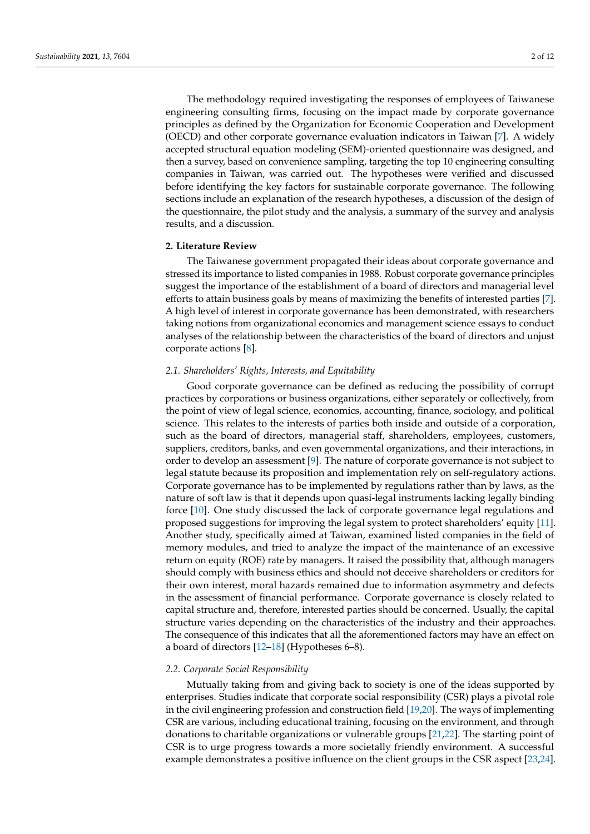The methodology required investigating the responses of employees of Taiwanese engineering consulting firms, focusing on the impact made by corporate governance principles as defined by the Organization for Economic Cooperation and Development (OECD) and other corporate governance evaluation indicators in Taiwan [\[7\]](#page-10-5). A widely accepted structural equation modeling (SEM)-oriented questionnaire was designed, and then a survey, based on convenience sampling, targeting the top 10 engineering consulting companies in Taiwan, was carried out. The hypotheses were verified and discussed before identifying the key factors for sustainable corporate governance. The following sections include an explanation of the research hypotheses, a discussion of the design of the questionnaire, the pilot study and the analysis, a summary of the survey and analysis results, and a discussion.

#### **2. Literature Review**

The Taiwanese government propagated their ideas about corporate governance and stressed its importance to listed companies in 1988. Robust corporate governance principles suggest the importance of the establishment of a board of directors and managerial level efforts to attain business goals by means of maximizing the benefits of interested parties [\[7\]](#page-10-5). A high level of interest in corporate governance has been demonstrated, with researchers taking notions from organizational economics and management science essays to conduct analyses of the relationship between the characteristics of the board of directors and unjust corporate actions [\[8\]](#page-10-6).

## *2.1. Shareholders' Rights, Interests, and Equitability*

Good corporate governance can be defined as reducing the possibility of corrupt practices by corporations or business organizations, either separately or collectively, from the point of view of legal science, economics, accounting, finance, sociology, and political science. This relates to the interests of parties both inside and outside of a corporation, such as the board of directors, managerial staff, shareholders, employees, customers, suppliers, creditors, banks, and even governmental organizations, and their interactions, in order to develop an assessment [\[9\]](#page-10-7). The nature of corporate governance is not subject to legal statute because its proposition and implementation rely on self-regulatory actions. Corporate governance has to be implemented by regulations rather than by laws, as the nature of soft law is that it depends upon quasi-legal instruments lacking legally binding force [\[10\]](#page-10-8). One study discussed the lack of corporate governance legal regulations and proposed suggestions for improving the legal system to protect shareholders' equity [\[11\]](#page-10-9). Another study, specifically aimed at Taiwan, examined listed companies in the field of memory modules, and tried to analyze the impact of the maintenance of an excessive return on equity (ROE) rate by managers. It raised the possibility that, although managers should comply with business ethics and should not deceive shareholders or creditors for their own interest, moral hazards remained due to information asymmetry and defects in the assessment of financial performance. Corporate governance is closely related to capital structure and, therefore, interested parties should be concerned. Usually, the capital structure varies depending on the characteristics of the industry and their approaches. The consequence of this indicates that all the aforementioned factors may have an effect on a board of directors [\[12–](#page-10-10)[18\]](#page-10-11) (Hypotheses 6–8).

### *2.2. Corporate Social Responsibility*

Mutually taking from and giving back to society is one of the ideas supported by enterprises. Studies indicate that corporate social responsibility (CSR) plays a pivotal role in the civil engineering profession and construction field [\[19,](#page-10-12)[20\]](#page-11-0). The ways of implementing CSR are various, including educational training, focusing on the environment, and through donations to charitable organizations or vulnerable groups [\[21,](#page-11-1)[22\]](#page-11-2). The starting point of CSR is to urge progress towards a more societally friendly environment. A successful example demonstrates a positive influence on the client groups in the CSR aspect [\[23,](#page-11-3)[24\]](#page-11-4).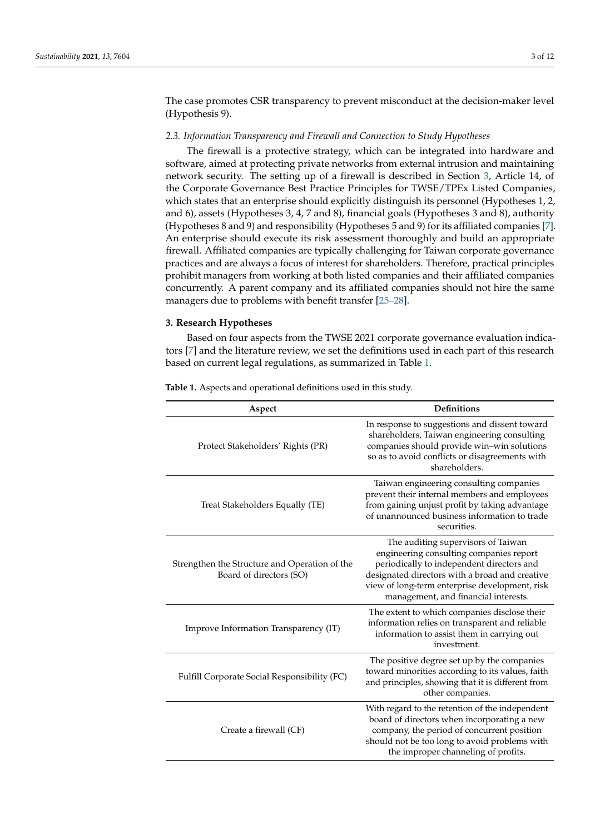The case promotes CSR transparency to prevent misconduct at the decision-maker level (Hypothesis 9).

### <span id="page-2-2"></span>*2.3. Information Transparency and Firewall and Connection to Study Hypotheses*

The firewall is a protective strategy, which can be integrated into hardware and software, aimed at protecting private networks from external intrusion and maintaining network security. The setting up of a firewall is described in Section [3,](#page-2-0) Article 14, of the Corporate Governance Best Practice Principles for TWSE/TPEx Listed Companies, which states that an enterprise should explicitly distinguish its personnel (Hypotheses 1, 2, and 6), assets (Hypotheses 3, 4, 7 and 8), financial goals (Hypotheses 3 and 8), authority (Hypotheses 8 and 9) and responsibility (Hypotheses 5 and 9) for its affiliated companies [\[7\]](#page-10-5). An enterprise should execute its risk assessment thoroughly and build an appropriate firewall. Affiliated companies are typically challenging for Taiwan corporate governance practices and are always a focus of interest for shareholders. Therefore, practical principles prohibit managers from working at both listed companies and their affiliated companies concurrently. A parent company and its affiliated companies should not hire the same managers due to problems with benefit transfer [\[25–](#page-11-5)[28\]](#page-11-6).

## <span id="page-2-0"></span>**3. Research Hypotheses**

Based on four aspects from the TWSE 2021 corporate governance evaluation indicators [\[7\]](#page-10-5) and the literature review, we set the definitions used in each part of this research based on current legal regulations, as summarized in Table [1.](#page-2-1)

| Aspect                                                                   | <b>Definitions</b>                                                                                                                                                                                                                                                     |
|--------------------------------------------------------------------------|------------------------------------------------------------------------------------------------------------------------------------------------------------------------------------------------------------------------------------------------------------------------|
| Protect Stakeholders' Rights (PR)                                        | In response to suggestions and dissent toward<br>shareholders, Taiwan engineering consulting<br>companies should provide win-win solutions<br>so as to avoid conflicts or disagreements with<br>shareholders.                                                          |
| Treat Stakeholders Equally (TE)                                          | Taiwan engineering consulting companies<br>prevent their internal members and employees<br>from gaining unjust profit by taking advantage<br>of unannounced business information to trade<br>securities.                                                               |
| Strengthen the Structure and Operation of the<br>Board of directors (SO) | The auditing supervisors of Taiwan<br>engineering consulting companies report<br>periodically to independent directors and<br>designated directors with a broad and creative<br>view of long-term enterprise development, risk<br>management, and financial interests. |
| Improve Information Transparency (IT)                                    | The extent to which companies disclose their<br>information relies on transparent and reliable<br>information to assist them in carrying out<br>investment.                                                                                                            |
| Fulfill Corporate Social Responsibility (FC)                             | The positive degree set up by the companies<br>toward minorities according to its values, faith<br>and principles, showing that it is different from<br>other companies.                                                                                               |
| Create a firewall (CF)                                                   | With regard to the retention of the independent<br>board of directors when incorporating a new<br>company, the period of concurrent position<br>should not be too long to avoid problems with<br>the improper channeling of profits.                                   |

<span id="page-2-1"></span>**Table 1.** Aspects and operational definitions used in this study.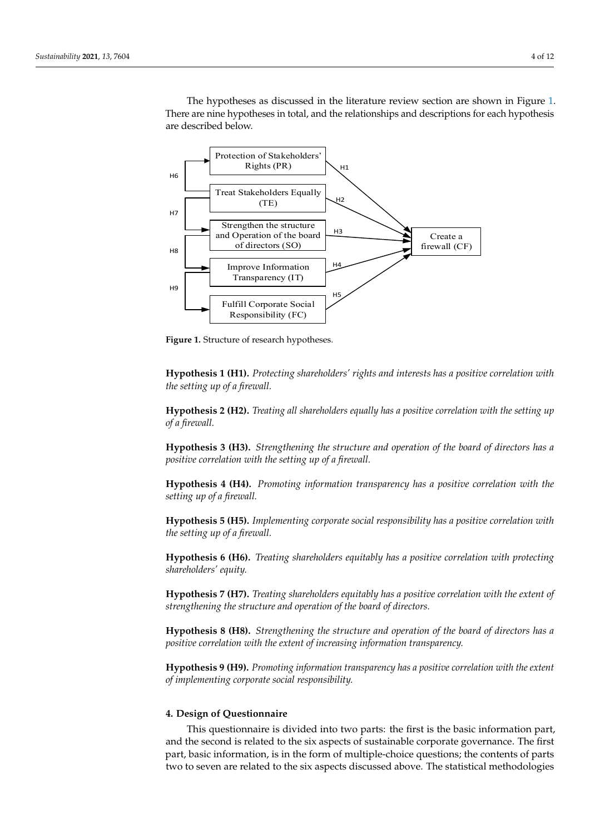The hypotheses as discussed in the literature review section are shown in Figure [1.](#page-3-0) There are nine hypotheses in total, and the relationships and descriptions for each hypothesis are described below.

<span id="page-3-0"></span>

**Figure 1.** Structure of research hypotheses. **Figure 1.** Structure of research hypotheses.

**Hypothesis 1 (H1).** *Protecting shareholders' rights and interests has a positive correlation with* the setting up of a firewall.

 $\frac{1}{2}$  basic information, information, in the form of multiple-choice questions; the contents of parts of parts of parts **Hypothesis 2 (H2).** *Treating all shareholders equally has a positive correlation with the setting up*  $\omega_j$  a fireware. *of a firewall.*

Hypothesis 3 (H3). *Strengthening the structure and operation of the board of directors has a*  $\mathbf{f}_1$  are the number  $\mathbf{f}_2$  to  $\mathbf{f}_2$  represents the number of  $\mathbf{f}_2$  represents the number of  $\mathbf{f}_2$  represents the number of  $\mathbf{f}_2$  represents the number of  $\mathbf{f}_2$  represents the number of  $\mathbf{f}_2$ positive correlation with the setting up of a firewall.

 $\text{Simplies}$  as  $\text{Tr}(\mathbf{H})$  as promotive information transmarge lass a neglige servelation with the **Hypothesis 4 (H4).** *Promoting information transparency has a positive correlation with the*<br>setting un of a firewall  $\sigma$  board of directors, increasing information transparency, and implementing corporate corporate corporate corporate corporate corporate corporate corporate corporate corporate corporate corporate corporate corporate co *setting up of a firewall.*

Hypothesis 5 (H5). *Implementing corporate social responsibility has a positive correlation with the setting up of a firewall.*

**Hypothesis 6 (H6).** *Treating shareholders equitably has a positive correlation with protecting shareholders' equity.*

**Hypothesis 7 (H7).** *Treating shareholders equitably has a positive correlation with the extent of strengthening the structure and operation of the board of directors.*

**Hypothesis 8 (H8).** *Strengthening the structure and operation of the board of directors has a positive correlation with the extent of increasing information transparency.*

**Hypothesis 9 (H9).** *Promoting information transparency has a positive correlation with the extent of implementing corporate social responsibility.*

## **4. Design of Questionnaire**

This questionnaire is divided into two parts: the first is the basic information part, and the second is related to the six aspects of sustainable corporate governance. The first part, basic information, is in the form of multiple-choice questions; the contents of parts two to seven are related to the six aspects discussed above. The statistical methodologies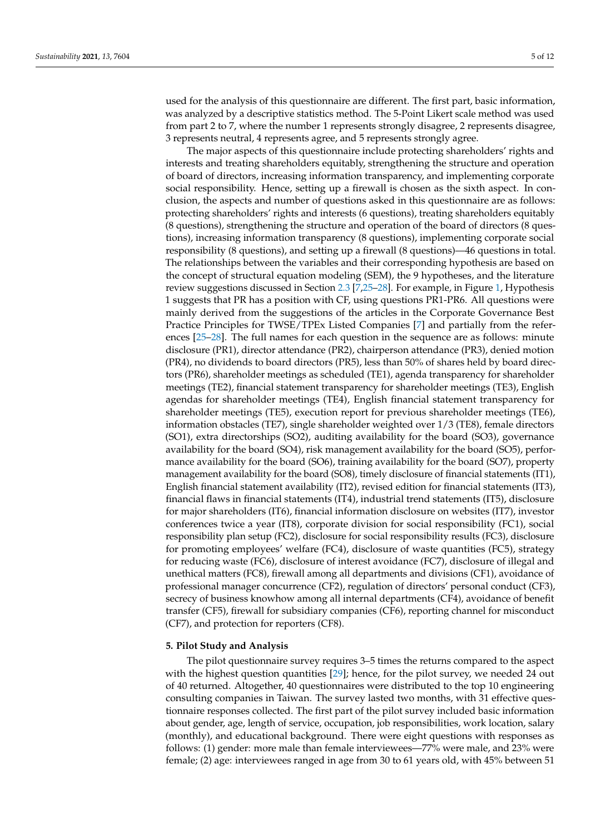used for the analysis of this questionnaire are different. The first part, basic information, was analyzed by a descriptive statistics method. The 5-Point Likert scale method was used from part 2 to 7, where the number 1 represents strongly disagree, 2 represents disagree, 3 represents neutral, 4 represents agree, and 5 represents strongly agree.

The major aspects of this questionnaire include protecting shareholders' rights and interests and treating shareholders equitably, strengthening the structure and operation of board of directors, increasing information transparency, and implementing corporate social responsibility. Hence, setting up a firewall is chosen as the sixth aspect. In conclusion, the aspects and number of questions asked in this questionnaire are as follows: protecting shareholders' rights and interests (6 questions), treating shareholders equitably (8 questions), strengthening the structure and operation of the board of directors (8 questions), increasing information transparency (8 questions), implementing corporate social responsibility (8 questions), and setting up a firewall (8 questions)—46 questions in total. The relationships between the variables and their corresponding hypothesis are based on the concept of structural equation modeling (SEM), the 9 hypotheses, and the literature review suggestions discussed in Section [2.3](#page-2-2) [\[7](#page-10-5)[,25](#page-11-5)[–28\]](#page-11-6). For example, in Figure [1,](#page-3-0) Hypothesis 1 suggests that PR has a position with CF, using questions PR1-PR6. All questions were mainly derived from the suggestions of the articles in the Corporate Governance Best Practice Principles for TWSE/TPEx Listed Companies [\[7\]](#page-10-5) and partially from the references [\[25](#page-11-5)[–28\]](#page-11-6). The full names for each question in the sequence are as follows: minute disclosure (PR1), director attendance (PR2), chairperson attendance (PR3), denied motion (PR4), no dividends to board directors (PR5), less than 50% of shares held by board directors (PR6), shareholder meetings as scheduled (TE1), agenda transparency for shareholder meetings (TE2), financial statement transparency for shareholder meetings (TE3), English agendas for shareholder meetings (TE4), English financial statement transparency for shareholder meetings (TE5), execution report for previous shareholder meetings (TE6), information obstacles (TE7), single shareholder weighted over 1/3 (TE8), female directors (SO1), extra directorships (SO2), auditing availability for the board (SO3), governance availability for the board (SO4), risk management availability for the board (SO5), performance availability for the board (SO6), training availability for the board (SO7), property management availability for the board (SO8), timely disclosure of financial statements (IT1), English financial statement availability (IT2), revised edition for financial statements (IT3), financial flaws in financial statements (IT4), industrial trend statements (IT5), disclosure for major shareholders (IT6), financial information disclosure on websites (IT7), investor conferences twice a year (IT8), corporate division for social responsibility (FC1), social responsibility plan setup (FC2), disclosure for social responsibility results (FC3), disclosure for promoting employees' welfare (FC4), disclosure of waste quantities (FC5), strategy for reducing waste (FC6), disclosure of interest avoidance (FC7), disclosure of illegal and unethical matters (FC8), firewall among all departments and divisions (CF1), avoidance of professional manager concurrence (CF2), regulation of directors' personal conduct (CF3), secrecy of business knowhow among all internal departments (CF4), avoidance of benefit transfer (CF5), firewall for subsidiary companies (CF6), reporting channel for misconduct (CF7), and protection for reporters (CF8).

## **5. Pilot Study and Analysis**

The pilot questionnaire survey requires 3–5 times the returns compared to the aspect with the highest question quantities [\[29\]](#page-11-7); hence, for the pilot survey, we needed 24 out of 40 returned. Altogether, 40 questionnaires were distributed to the top 10 engineering consulting companies in Taiwan. The survey lasted two months, with 31 effective questionnaire responses collected. The first part of the pilot survey included basic information about gender, age, length of service, occupation, job responsibilities, work location, salary (monthly), and educational background. There were eight questions with responses as follows: (1) gender: more male than female interviewees—77% were male, and 23% were female; (2) age: interviewees ranged in age from 30 to 61 years old, with 45% between 51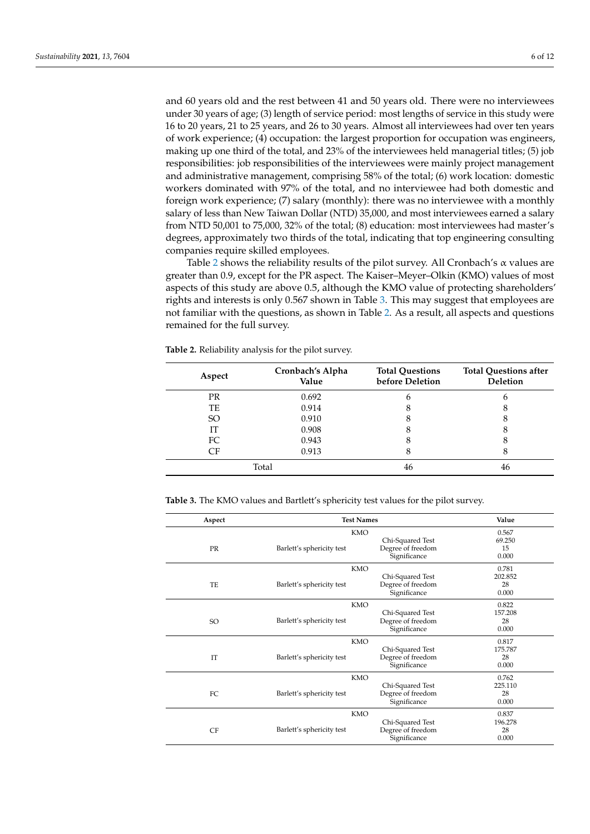and 60 years old and the rest between 41 and 50 years old. There were no interviewees under 30 years of age; (3) length of service period: most lengths of service in this study were 16 to 20 years, 21 to 25 years, and 26 to 30 years. Almost all interviewees had over ten years of work experience; (4) occupation: the largest proportion for occupation was engineers, making up one third of the total, and 23% of the interviewees held managerial titles; (5) job responsibilities: job responsibilities of the interviewees were mainly project management and administrative management, comprising 58% of the total; (6) work location: domestic workers dominated with 97% of the total, and no interviewee had both domestic and foreign work experience; (7) salary (monthly): there was no interviewee with a monthly salary of less than New Taiwan Dollar (NTD) 35,000, and most interviewees earned a salary from NTD 50,001 to 75,000, 32% of the total; (8) education: most interviewees had master's degrees, approximately two thirds of the total, indicating that top engineering consulting companies require skilled employees.

Table [2](#page-5-0) shows the reliability results of the pilot survey. All Cronbach's  $\alpha$  values are greater than 0.9, except for the PR aspect. The Kaiser–Meyer–Olkin (KMO) values of most aspects of this study are above 0.5, although the KMO value of protecting shareholders' rights and interests is only 0.567 shown in Table [3.](#page-5-1) This may suggest that employees are not familiar with the questions, as shown in Table [2.](#page-5-0) As a result, all aspects and questions remained for the full survey.

<span id="page-5-0"></span>**Table 2.** Reliability analysis for the pilot survey.

| Aspect        | Cronbach's Alpha<br>Value | <b>Total Questions</b><br>before Deletion | <b>Total Questions after</b><br><b>Deletion</b> |
|---------------|---------------------------|-------------------------------------------|-------------------------------------------------|
| <b>PR</b>     | 0.692                     | 6                                         | 6                                               |
| TE            | 0.914                     | 8                                         |                                                 |
| <sub>SO</sub> | 0.910                     | 8                                         |                                                 |
| IТ            | 0.908                     | 8                                         | 8                                               |
| FC            | 0.943                     | 8                                         |                                                 |
| CF            | 0.913                     | 8                                         |                                                 |
|               | Total                     | 46                                        | 46                                              |

<span id="page-5-1"></span>**Table 3.** The KMO values and Bartlett's sphericity test values for the pilot survey.

| Aspect    | <b>Test Names</b>         | Value             |         |
|-----------|---------------------------|-------------------|---------|
|           | <b>KMO</b>                |                   | 0.567   |
|           |                           | Chi-Squared Test  | 69.250  |
| <b>PR</b> | Barlett's sphericity test | Degree of freedom | 15      |
|           |                           | Significance      | 0.000   |
|           | KMO                       |                   | 0.781   |
|           |                           | Chi-Squared Test  | 202.852 |
| TF.       | Barlett's sphericity test | Degree of freedom | 28      |
|           |                           | Significance      | 0.000   |
|           | KMO                       |                   | 0.822   |
|           |                           | Chi-Squared Test  | 157.208 |
| SO.       | Barlett's sphericity test | Degree of freedom | 28      |
|           |                           | Significance      | 0.000   |
|           | KMO                       |                   | 0.817   |
|           |                           | Chi-Squared Test  | 175.787 |
| <b>TT</b> | Barlett's sphericity test | Degree of freedom | 28      |
|           |                           | Significance      | 0.000   |
|           | <b>KMO</b>                |                   | 0.762   |
|           |                           | Chi-Squared Test  | 225.110 |
| FC        | Barlett's sphericity test | Degree of freedom | 28      |
|           |                           | Significance      | 0.000   |
|           | <b>KMO</b>                |                   | 0.837   |
|           |                           | Chi-Squared Test  | 196.278 |
| <b>CF</b> | Barlett's sphericity test | Degree of freedom | 28      |
|           |                           | Significance      | 0.000   |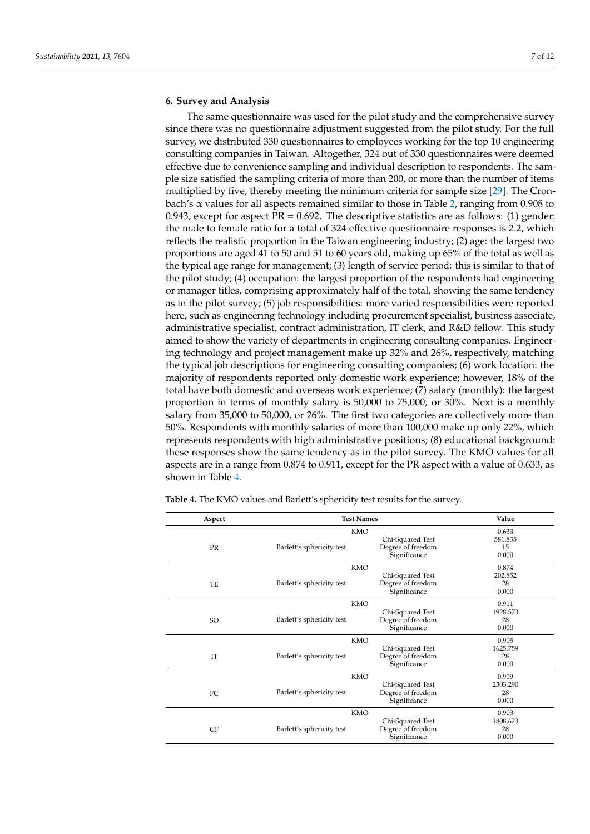## **6. Survey and Analysis**

The same questionnaire was used for the pilot study and the comprehensive survey since there was no questionnaire adjustment suggested from the pilot study. For the full survey, we distributed 330 questionnaires to employees working for the top 10 engineering consulting companies in Taiwan. Altogether, 324 out of 330 questionnaires were deemed effective due to convenience sampling and individual description to respondents. The sample size satisfied the sampling criteria of more than 200, or more than the number of items multiplied by five, thereby meeting the minimum criteria for sample size [\[29\]](#page-11-7). The Cronbach's  $\alpha$  values for all aspects remained similar to those in Table [2,](#page-5-0) ranging from 0.908 to 0.943, except for aspect  $PR = 0.692$ . The descriptive statistics are as follows: (1) gender: the male to female ratio for a total of 324 effective questionnaire responses is 2.2, which reflects the realistic proportion in the Taiwan engineering industry; (2) age: the largest two proportions are aged 41 to 50 and 51 to 60 years old, making up 65% of the total as well as the typical age range for management; (3) length of service period: this is similar to that of the pilot study; (4) occupation: the largest proportion of the respondents had engineering or manager titles, comprising approximately half of the total, showing the same tendency as in the pilot survey; (5) job responsibilities: more varied responsibilities were reported here, such as engineering technology including procurement specialist, business associate, administrative specialist, contract administration, IT clerk, and R&D fellow. This study aimed to show the variety of departments in engineering consulting companies. Engineering technology and project management make up 32% and 26%, respectively, matching the typical job descriptions for engineering consulting companies; (6) work location: the majority of respondents reported only domestic work experience; however, 18% of the total have both domestic and overseas work experience; (7) salary (monthly): the largest proportion in terms of monthly salary is 50,000 to 75,000, or 30%. Next is a monthly salary from 35,000 to 50,000, or 26%. The first two categories are collectively more than 50%. Respondents with monthly salaries of more than 100,000 make up only 22%, which represents respondents with high administrative positions; (8) educational background: these responses show the same tendency as in the pilot survey. The KMO values for all aspects are in a range from 0.874 to 0.911, except for the PR aspect with a value of 0.633, as shown in Table [4.](#page-6-0)

| Aspect    | <b>Test Names</b>         | Value             |          |
|-----------|---------------------------|-------------------|----------|
|           | <b>KMO</b>                |                   | 0.633    |
|           |                           | Chi-Squared Test  | 581.835  |
| <b>PR</b> | Barlett's sphericity test | Degree of freedom | 15       |
|           |                           | Significance      | 0.000    |
|           | <b>KMO</b>                |                   | 0.874    |
|           |                           | Chi-Squared Test  | 202.852  |
| TE        | Barlett's sphericity test | Degree of freedom | 28       |
|           |                           | Significance      | 0.000    |
|           | <b>KMO</b>                |                   | 0.911    |
|           |                           | Chi-Squared Test  | 1928.573 |
| SO        | Barlett's sphericity test | Degree of freedom | 28       |
|           |                           | Significance      | 0.000    |
|           | <b>KMO</b>                |                   | 0.905    |
|           |                           | Chi-Squared Test  | 1625.759 |
| IT        | Barlett's sphericity test | Degree of freedom | 28       |
|           |                           | Significance      | 0.000    |
|           | <b>KMO</b>                |                   | 0.909    |
|           |                           | Chi-Squared Test  | 2303.290 |
| FC        | Barlett's sphericity test | Degree of freedom | 28       |
|           |                           | Significance      | 0.000    |
|           | <b>KMO</b>                |                   | 0.903    |
|           |                           | Chi-Squared Test  | 1808.623 |
| CF        | Barlett's sphericity test | Degree of freedom | 28       |
|           |                           | Significance      | 0.000    |

<span id="page-6-0"></span>**Table 4.** The KMO values and Barlett's sphericity test results for the survey.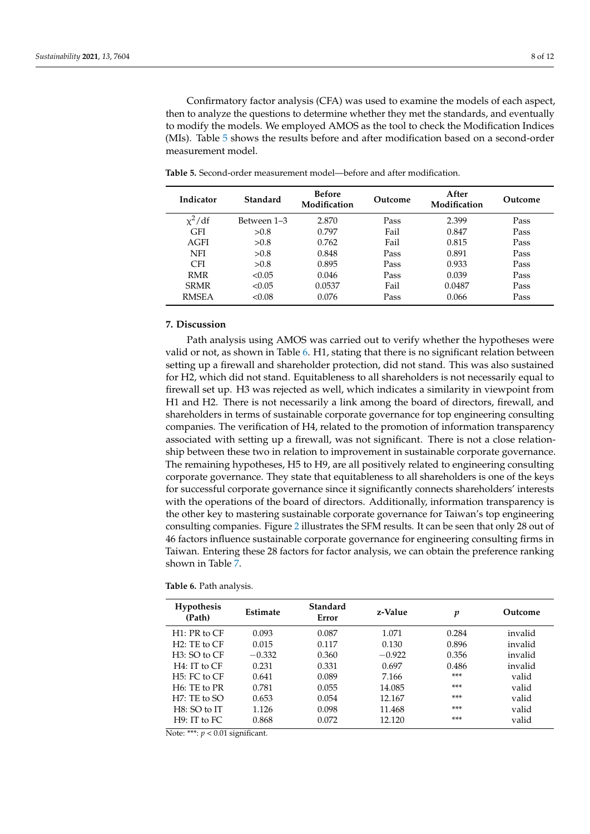Confirmatory factor analysis (CFA) was used to examine the models of each aspect, then to analyze the questions to determine whether they met the standards, and eventually to modify the models. We employed AMOS as the tool to check the Modification Indices (MIs). Table [5](#page-7-0) shows the results before and after modification based on a second-order measurement model.

| Indicator    | Standard    | <b>Before</b><br>Modification | Outcome | After<br>Modification | Outcome |
|--------------|-------------|-------------------------------|---------|-----------------------|---------|
| $x^2/df$     | Between 1–3 | 2.870                         | Pass    | 2.399                 | Pass    |
| <b>GFI</b>   | > 0.8       | 0.797                         | Fail    | 0.847                 | Pass    |
| AGFI         | > 0.8       | 0.762                         | Fail    | 0.815                 | Pass    |
| <b>NFI</b>   | > 0.8       | 0.848                         | Pass    | 0.891                 | Pass    |
| <b>CFI</b>   | > 0.8       | 0.895                         | Pass    | 0.933                 | Pass    |
| <b>RMR</b>   | < 0.05      | 0.046                         | Pass    | 0.039                 | Pass    |
| <b>SRMR</b>  | < 0.05      | 0.0537                        | Fail    | 0.0487                | Pass    |
| <b>RMSEA</b> | < 0.08      | 0.076                         | Pass    | 0.066                 | Pass    |

<span id="page-7-0"></span>**Table 5.** Second-order measurement model—before and after modification.

## **7. Discussion**

Path analysis using AMOS was carried out to verify whether the hypotheses were valid or not, as shown in Table [6.](#page-7-1) H1, stating that there is no significant relation between setting up a firewall and shareholder protection, did not stand. This was also sustained for H2, which did not stand. Equitableness to all shareholders is not necessarily equal to firewall set up. H3 was rejected as well, which indicates a similarity in viewpoint from H1 and H2. There is not necessarily a link among the board of directors, firewall, and shareholders in terms of sustainable corporate governance for top engineering consulting companies. The verification of H4, related to the promotion of information transparency associated with setting up a firewall, was not significant. There is not a close relationship between these two in relation to improvement in sustainable corporate governance. The remaining hypotheses, H5 to H9, are all positively related to engineering consulting corporate governance. They state that equitableness to all shareholders is one of the keys for successful corporate governance since it significantly connects shareholders' interests with the operations of the board of directors. Additionally, information transparency is the other key to mastering sustainable corporate governance for Taiwan's top engineering consulting companies. Figure [2](#page-8-0) illustrates the SFM results. It can be seen that only 28 out of 46 factors influence sustainable corporate governance for engineering consulting firms in Taiwan. Entering these 28 factors for factor analysis, we can obtain the preference ranking shown in Table [7.](#page-8-1)

<span id="page-7-1"></span>

| <b>Table 6.</b> Path analysis. |  |  |
|--------------------------------|--|--|
|                                |  |  |

| <b>Hypothesis</b><br>(Path) | <b>Estimate</b> | Standard<br>Error | z-Value  | p     | Outcome |
|-----------------------------|-----------------|-------------------|----------|-------|---------|
| H1: PR to CF                | 0.093           | 0.087             | 1.071    | 0.284 | invalid |
| $H2:$ TE to $CF$            | 0.015           | 0.117             | 0.130    | 0.896 | invalid |
| $H3:SO$ to $CF$             | $-0.332$        | 0.360             | $-0.922$ | 0.356 | invalid |
| H4: IT to CF                | 0.231           | 0.331             | 0.697    | 0.486 | invalid |
| $H5: FC$ to $CF$            | 0.641           | 0.089             | 7.166    | ***   | valid   |
| $H6:$ TE to PR              | 0.781           | 0.055             | 14.085   | ***   | valid   |
| H7: TE to SO                | 0.653           | 0.054             | 12.167   | ***   | valid   |
| H8: SO to IT                | 1.126           | 0.098             | 11.468   | ***   | valid   |
| H9: IT to FC                | 0.868           | 0.072             | 12.120   | ***   | valid   |

Note: \*\*\*: *p* < 0.01 significant.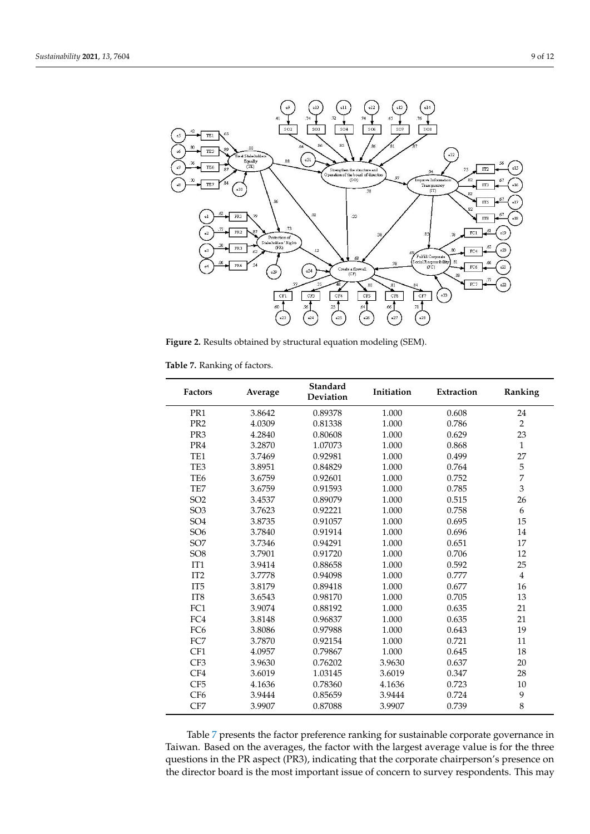<span id="page-8-0"></span>

**Figure 2.** Results obtained by structural equation modeling (SEM). **Figure 2.** Results obtained by structural equation modeling (SEM).

<span id="page-8-1"></span>

| Table 7. Ranking of factors. |  |
|------------------------------|--|
|------------------------------|--|

| <b>Factors</b>  | Average | <b>Standard</b><br><b>Deviation</b> | Initiation | Extraction | Ranking        |
|-----------------|---------|-------------------------------------|------------|------------|----------------|
| PR1             | 3.8642  | 0.89378                             | 1.000      | 0.608      | 24             |
| PR <sub>2</sub> | 4.0309  | 0.81338                             | 1.000      | 0.786      | $\overline{2}$ |
| PR <sub>3</sub> | 4.2840  | 0.80608                             | 1.000      | 0.629      | 23             |
| PR4             | 3.2870  | 1.07073                             | 1.000      | 0.868      | $\mathbf{1}$   |
| TE <sub>1</sub> | 3.7469  | 0.92981                             | 1.000      | 0.499      | 27             |
| TE3             | 3.8951  | 0.84829                             | 1.000      | 0.764      | 5              |
| TE <sub>6</sub> | 3.6759  | 0.92601                             | 1.000      | 0.752      | $\overline{7}$ |
| TE7             | 3.6759  | 0.91593                             | 1.000      | 0.785      | 3              |
| SO <sub>2</sub> | 3.4537  | 0.89079                             | 1.000      | 0.515      | 26             |
| SO <sub>3</sub> | 3.7623  | 0.92221                             | 1.000      | 0.758      | 6              |
| SO <sub>4</sub> | 3.8735  | 0.91057                             | 1.000      | 0.695      | 15             |
| SO <sub>6</sub> | 3.7840  | 0.91914                             | 1.000      | 0.696      | 14             |
| SO <sub>7</sub> | 3.7346  | 0.94291                             | 1.000      | 0.651      | 17             |
| SO <sub>8</sub> | 3.7901  | 0.91720                             | 1.000      | 0.706      | 12             |
| IT1             | 3.9414  | 0.88658                             | 1.000      | 0.592      | 25             |
| IT <sub>2</sub> | 3.7778  | 0.94098                             | 1.000      | 0.777      | $\overline{4}$ |
| IT <sub>5</sub> | 3.8179  | 0.89418                             | 1.000      | 0.677      | 16             |
| IT <sub>8</sub> | 3.6543  | 0.98170                             | 1.000      | 0.705      | 13             |
| FC1             | 3.9074  | 0.88192                             | 1.000      | 0.635      | 21             |
| FC4             | 3.8148  | 0.96837                             | 1.000      | 0.635      | 21             |
| FC <sub>6</sub> | 3.8086  | 0.97988                             | 1.000      | 0.643      | 19             |
| FC7             | 3.7870  | 0.92154                             | 1.000      | 0.721      | 11             |
| CF1             | 4.0957  | 0.79867                             | 1.000      | 0.645      | 18             |
| CF3             | 3.9630  | 0.76202                             | 3.9630     | 0.637      | 20             |
| CF4             | 3.6019  | 1.03145                             | 3.6019     | 0.347      | 28             |
| CF <sub>5</sub> | 4.1636  | 0.78360                             | 4.1636     | 0.723      | 10             |
| CF <sub>6</sub> | 3.9444  | 0.85659                             | 3.9444     | 0.724      | 9              |
| CF7             | 3.9907  | 0.87088                             | 3.9907     | 0.739      | 8              |

Table [7](#page-8-1) presents the factor preference ranking for sustainable corporate governance in Taiwan. Based on the averages, the factor with the largest average value is for the three questions in the PR aspect (PR3), indicating that the corporate chairperson's presence on the director board is the most important issue of concern to survey respondents. This may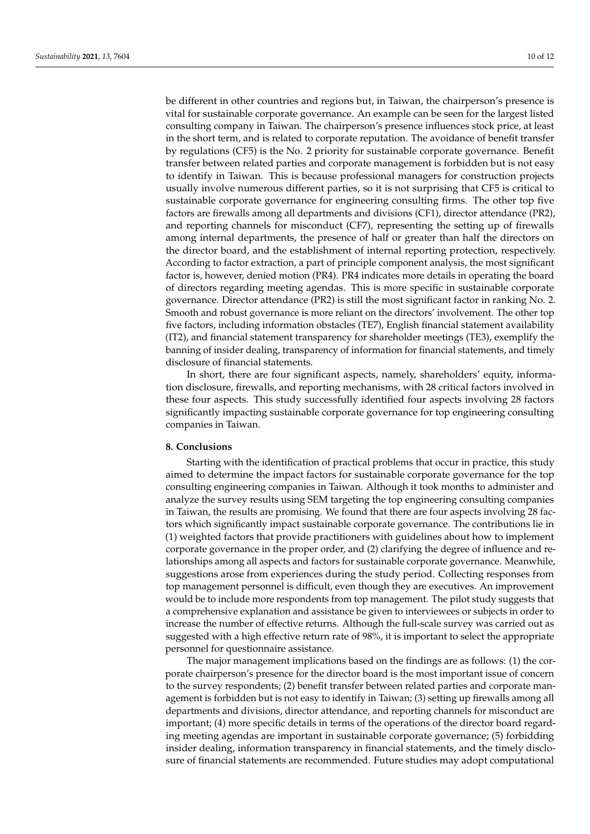be different in other countries and regions but, in Taiwan, the chairperson's presence is vital for sustainable corporate governance. An example can be seen for the largest listed consulting company in Taiwan. The chairperson's presence influences stock price, at least in the short term, and is related to corporate reputation. The avoidance of benefit transfer by regulations (CF5) is the No. 2 priority for sustainable corporate governance. Benefit transfer between related parties and corporate management is forbidden but is not easy to identify in Taiwan. This is because professional managers for construction projects usually involve numerous different parties, so it is not surprising that CF5 is critical to sustainable corporate governance for engineering consulting firms. The other top five factors are firewalls among all departments and divisions (CF1), director attendance (PR2), and reporting channels for misconduct (CF7), representing the setting up of firewalls among internal departments, the presence of half or greater than half the directors on the director board, and the establishment of internal reporting protection, respectively. According to factor extraction, a part of principle component analysis, the most significant factor is, however, denied motion (PR4). PR4 indicates more details in operating the board of directors regarding meeting agendas. This is more specific in sustainable corporate governance. Director attendance (PR2) is still the most significant factor in ranking No. 2. Smooth and robust governance is more reliant on the directors' involvement. The other top five factors, including information obstacles (TE7), English financial statement availability (IT2), and financial statement transparency for shareholder meetings (TE3), exemplify the banning of insider dealing, transparency of information for financial statements, and timely disclosure of financial statements.

In short, there are four significant aspects, namely, shareholders' equity, information disclosure, firewalls, and reporting mechanisms, with 28 critical factors involved in these four aspects. This study successfully identified four aspects involving 28 factors significantly impacting sustainable corporate governance for top engineering consulting companies in Taiwan.

#### **8. Conclusions**

Starting with the identification of practical problems that occur in practice, this study aimed to determine the impact factors for sustainable corporate governance for the top consulting engineering companies in Taiwan. Although it took months to administer and analyze the survey results using SEM targeting the top engineering consulting companies in Taiwan, the results are promising. We found that there are four aspects involving 28 factors which significantly impact sustainable corporate governance. The contributions lie in (1) weighted factors that provide practitioners with guidelines about how to implement corporate governance in the proper order, and (2) clarifying the degree of influence and relationships among all aspects and factors for sustainable corporate governance. Meanwhile, suggestions arose from experiences during the study period. Collecting responses from top management personnel is difficult, even though they are executives. An improvement would be to include more respondents from top management. The pilot study suggests that a comprehensive explanation and assistance be given to interviewees or subjects in order to increase the number of effective returns. Although the full-scale survey was carried out as suggested with a high effective return rate of 98%, it is important to select the appropriate personnel for questionnaire assistance.

The major management implications based on the findings are as follows: (1) the corporate chairperson's presence for the director board is the most important issue of concern to the survey respondents; (2) benefit transfer between related parties and corporate management is forbidden but is not easy to identify in Taiwan; (3) setting up firewalls among all departments and divisions, director attendance, and reporting channels for misconduct are important; (4) more specific details in terms of the operations of the director board regarding meeting agendas are important in sustainable corporate governance; (5) forbidding insider dealing, information transparency in financial statements, and the timely disclosure of financial statements are recommended. Future studies may adopt computational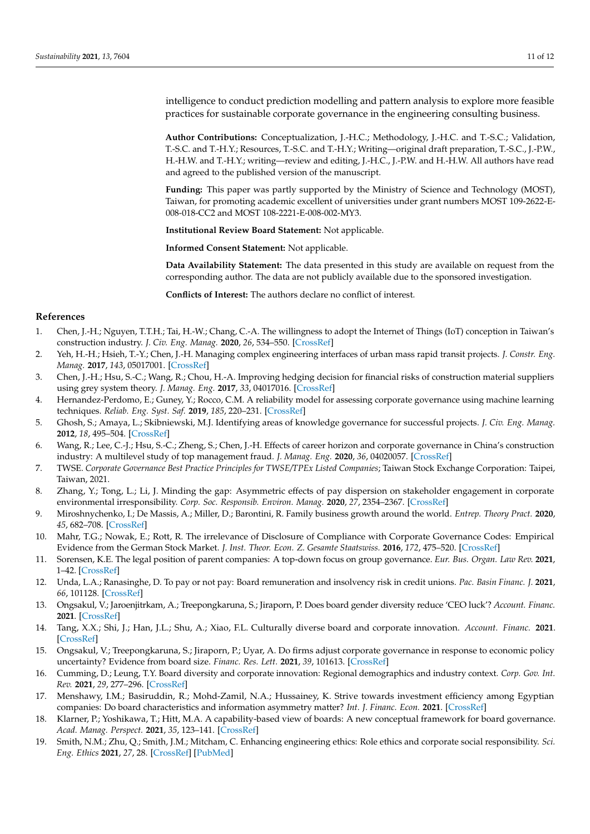intelligence to conduct prediction modelling and pattern analysis to explore more feasible practices for sustainable corporate governance in the engineering consulting business.

**Author Contributions:** Conceptualization, J.-H.C.; Methodology, J.-H.C. and T.-S.C.; Validation, T.-S.C. and T.-H.Y.; Resources, T.-S.C. and T.-H.Y.; Writing—original draft preparation, T.-S.C., J.-P.W., H.-H.W. and T.-H.Y.; writing—review and editing, J.-H.C., J.-P.W. and H.-H.W. All authors have read and agreed to the published version of the manuscript.

**Funding:** This paper was partly supported by the Ministry of Science and Technology (MOST), Taiwan, for promoting academic excellent of universities under grant numbers MOST 109-2622-E-008-018-CC2 and MOST 108-2221-E-008-002-MY3.

**Institutional Review Board Statement:** Not applicable.

**Informed Consent Statement:** Not applicable.

**Data Availability Statement:** The data presented in this study are available on request from the corresponding author. The data are not publicly available due to the sponsored investigation.

**Conflicts of Interest:** The authors declare no conflict of interest.

#### **References**

- <span id="page-10-0"></span>1. Chen, J.-H.; Nguyen, T.T.H.; Tai, H.-W.; Chang, C.-A. The willingness to adopt the Internet of Things (IoT) conception in Taiwan's construction industry. *J. Civ. Eng. Manag.* **2020**, *26*, 534–550. [\[CrossRef\]](http://doi.org/10.3846/jcem.2020.12639)
- 2. Yeh, H.-H.; Hsieh, T.-Y.; Chen, J.-H. Managing complex engineering interfaces of urban mass rapid transit projects. *J. Constr. Eng. Manag.* **2017**, *143*, 05017001. [\[CrossRef\]](http://doi.org/10.1061/(ASCE)CO.1943-7862.0001283)
- <span id="page-10-1"></span>3. Chen, J.-H.; Hsu, S.-C.; Wang, R.; Chou, H.-A. Improving hedging decision for financial risks of construction material suppliers using grey system theory. *J. Manag. Eng.* **2017**, *33*, 04017016. [\[CrossRef\]](http://doi.org/10.1061/(ASCE)ME.1943-5479.0000531)
- <span id="page-10-2"></span>4. Hernandez-Perdomo, E.; Guney, Y.; Rocco, C.M. A reliability model for assessing corporate governance using machine learning techniques. *Reliab. Eng. Syst. Saf.* **2019**, *185*, 220–231. [\[CrossRef\]](http://doi.org/10.1016/j.ress.2018.12.027)
- <span id="page-10-3"></span>5. Ghosh, S.; Amaya, L.; Skibniewski, M.J. Identifying areas of knowledge governance for successful projects. *J. Civ. Eng. Manag.* **2012**, *18*, 495–504. [\[CrossRef\]](http://doi.org/10.3846/13923730.2012.700642)
- <span id="page-10-4"></span>6. Wang, R.; Lee, C.-J.; Hsu, S.-C.; Zheng, S.; Chen, J.-H. Effects of career horizon and corporate governance in China's construction industry: A multilevel study of top management fraud. *J. Manag. Eng.* **2020**, *36*, 04020057. [\[CrossRef\]](http://doi.org/10.1061/(ASCE)ME.1943-5479.0000816)
- <span id="page-10-5"></span>7. TWSE. *Corporate Governance Best Practice Principles for TWSE/TPEx Listed Companies*; Taiwan Stock Exchange Corporation: Taipei, Taiwan, 2021.
- <span id="page-10-6"></span>8. Zhang, Y.; Tong, L.; Li, J. Minding the gap: Asymmetric effects of pay dispersion on stakeholder engagement in corporate environmental irresponsibility. *Corp. Soc. Responsib. Environ. Manag.* **2020**, *27*, 2354–2367. [\[CrossRef\]](http://doi.org/10.1002/csr.2003)
- <span id="page-10-7"></span>9. Miroshnychenko, I.; De Massis, A.; Miller, D.; Barontini, R. Family business growth around the world. *Entrep. Theory Pract.* **2020**, *45*, 682–708. [\[CrossRef\]](http://doi.org/10.1177/1042258720913028)
- <span id="page-10-8"></span>10. Mahr, T.G.; Nowak, E.; Rott, R. The irrelevance of Disclosure of Compliance with Corporate Governance Codes: Empirical Evidence from the German Stock Market. *J. Inst. Theor. Econ. Z. Gesamte Staatswiss.* **2016**, *172*, 475–520. [\[CrossRef\]](http://doi.org/10.1628/093245616X14605537965067)
- <span id="page-10-9"></span>11. Sorensen, K.E. The legal position of parent companies: A top-down focus on group governance. *Eur. Bus. Organ. Law Rev.* **2021**, 1–42. [\[CrossRef\]](http://doi.org/10.2139/ssrn.3495023)
- <span id="page-10-10"></span>12. Unda, L.A.; Ranasinghe, D. To pay or not pay: Board remuneration and insolvency risk in credit unions. *Pac. Basin Financ. J.* **2021**, *66*, 101128. [\[CrossRef\]](http://doi.org/10.1016/j.pacfin.2019.03.005)
- 13. Ongsakul, V.; Jaroenjitrkam, A.; Treepongkaruna, S.; Jiraporn, P. Does board gender diversity reduce 'CEO luck'? *Account. Financ.* **2021**. [\[CrossRef\]](http://doi.org/10.1111/acfi.12788)
- 14. Tang, X.X.; Shi, J.; Han, J.L.; Shu, A.; Xiao, F.L. Culturally diverse board and corporate innovation. *Account. Financ.* **2021**. [\[CrossRef\]](http://doi.org/10.1111/acfi.12772)
- 15. Ongsakul, V.; Treepongkaruna, S.; Jiraporn, P.; Uyar, A. Do firms adjust corporate governance in response to economic policy uncertainty? Evidence from board size. *Financ. Res. Lett.* **2021**, *39*, 101613. [\[CrossRef\]](http://doi.org/10.1016/j.frl.2020.101613)
- 16. Cumming, D.; Leung, T.Y. Board diversity and corporate innovation: Regional demographics and industry context. *Corp. Gov. Int. Rev.* **2021**, *29*, 277–296. [\[CrossRef\]](http://doi.org/10.1111/corg.12365)
- 17. Menshawy, I.M.; Basiruddin, R.; Mohd-Zamil, N.A.; Hussainey, K. Strive towards investment efficiency among Egyptian companies: Do board characteristics and information asymmetry matter? *Int. J. Financ. Econ.* **2021**. [\[CrossRef\]](http://doi.org/10.1002/ijfe.2540)
- <span id="page-10-11"></span>18. Klarner, P.; Yoshikawa, T.; Hitt, M.A. A capability-based view of boards: A new conceptual framework for board governance. *Acad. Manag. Perspect.* **2021**, *35*, 123–141. [\[CrossRef\]](http://doi.org/10.5465/amp.2017.0030)
- <span id="page-10-12"></span>19. Smith, N.M.; Zhu, Q.; Smith, J.M.; Mitcham, C. Enhancing engineering ethics: Role ethics and corporate social responsibility. *Sci. Eng. Ethics* **2021**, *27*, 28. [\[CrossRef\]](http://doi.org/10.1007/s11948-021-00289-7) [\[PubMed\]](http://www.ncbi.nlm.nih.gov/pubmed/33864147)